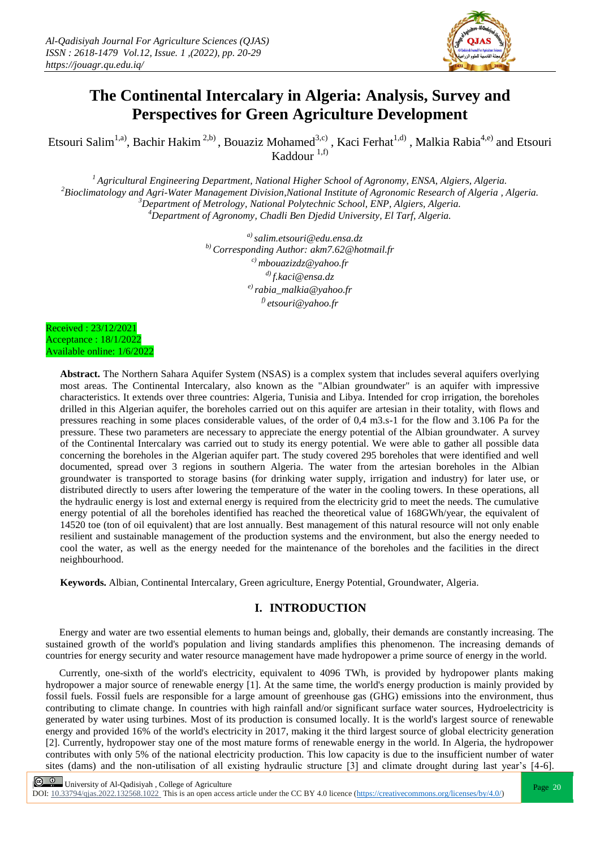

# **The Continental Intercalary in Algeria: Analysis, Survey and Perspectives for Green Agriculture Development**

Etsouri Salim<sup>1,a)</sup>, Bachir Hakim<sup>2,b)</sup>, Bouaziz Mohamed<sup>3,c)</sup>, Kaci Ferhat<sup>1,d)</sup>, Malkia Rabia<sup>4,e)</sup> and Etsouri Kaddour  $1,f$ )

*Agricultural Engineering Department, National Higher School of Agronomy, ENSA, Algiers, Algeria. Bioclimatology and Agri-Water Management Division,National Institute of Agronomic Research of Algeria , Algeria. Department of Metrology, National Polytechnic School, ENP, Algiers, Algeria. Department of Agronomy, Chadli Ben Djedid University, El Tarf, Algeria.*

> *a) salim.etsouri@edu.ensa.dz b) Corresponding Author: akm7.62@hotmail.fr c) [mbouazizdz@yahoo.fr](mailto:mbouazizdz@yahoo.fr) d) [f.kaci@ensa.dz](mailto:f.kaci@ensa.dz) e) [rabia\\_malkia@yahoo.fr](mailto:rabia_malkia@yahoo.fr) f) etsouri@yahoo.fr*

Received : 23/12/2021 Acceptance : 18/1/2022 Available online: 1/6/2022

> **Abstract.** The Northern Sahara Aquifer System (NSAS) is a complex system that includes several aquifers overlying most areas. The Continental Intercalary, also known as the "Albian groundwater" is an aquifer with impressive characteristics. It extends over three countries: Algeria, Tunisia and Libya. Intended for crop irrigation, the boreholes drilled in this Algerian aquifer, the boreholes carried out on this aquifer are artesian in their totality, with flows and pressures reaching in some places considerable values, of the order of 0,4 m3.s-1 for the flow and 3.106 Pa for the pressure. These two parameters are necessary to appreciate the energy potential of the Albian groundwater. A survey of the Continental Intercalary was carried out to study its energy potential. We were able to gather all possible data concerning the boreholes in the Algerian aquifer part. The study covered 295 boreholes that were identified and well documented, spread over 3 regions in southern Algeria. The water from the artesian boreholes in the Albian groundwater is transported to storage basins (for drinking water supply, irrigation and industry) for later use, or distributed directly to users after lowering the temperature of the water in the cooling towers. In these operations, all the hydraulic energy is lost and external energy is required from the electricity grid to meet the needs. The cumulative energy potential of all the boreholes identified has reached the theoretical value of 168GWh/year, the equivalent of 14520 toe (ton of oil equivalent) that are lost annually. Best management of this natural resource will not only enable resilient and sustainable management of the production systems and the environment, but also the energy needed to cool the water, as well as the energy needed for the maintenance of the boreholes and the facilities in the direct neighbourhood.

**Keywords.** Albian, Continental Intercalary, Green agriculture, Energy Potential, Groundwater, Algeria.

## **I. INTRODUCTION**

Energy and water are two essential elements to human beings and, globally, their demands are constantly increasing. The sustained growth of the world's population and living standards amplifies this phenomenon. The increasing demands of countries for energy security and water resource management have made hydropower a prime source of energy in the world.

Currently, one-sixth of the world's electricity, equivalent to 4096 TWh, is provided by hydropower plants making hydropower a major source of renewable energy [1]. At the same time, the world's energy production is mainly provided by fossil fuels. Fossil fuels are responsible for a large amount of greenhouse gas (GHG) emissions into the environment, thus contributing to climate change. In countries with high rainfall and/or significant surface water sources, Hydroelectricity is generated by water using turbines. Most of its production is consumed locally. It is the world's largest source of renewable energy and provided 16% of the world's electricity in 2017, making it the third largest source of global electricity generation [2]. Currently, hydropower stay one of the most mature forms of renewable energy in the world. In Algeria, the hydropower contributes with only 5% of the national electricity production. This low capacity is due to the insufficient number of water sites (dams) and the non-utilisation of all existing hydraulic structure [3] and climate drought during last year's [4-6].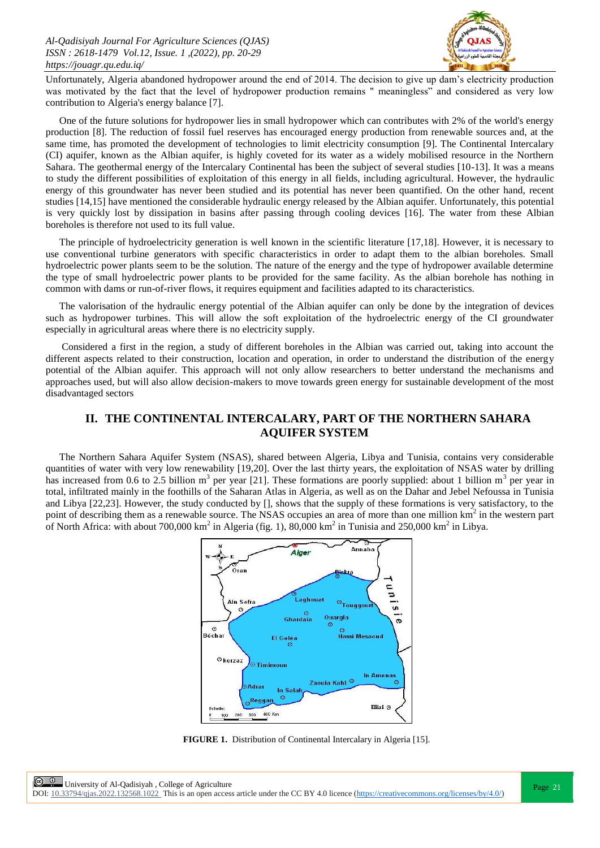

Unfortunately, Algeria abandoned hydropower around the end of 2014. The decision to give up dam's electricity production was motivated by the fact that the level of hydropower production remains " meaningless" and considered as very low contribution to Algeria's energy balance [7].

One of the future solutions for hydropower lies in small hydropower which can contributes with 2% of the world's energy production [8]. The reduction of fossil fuel reserves has encouraged energy production from renewable sources and, at the same time, has promoted the development of technologies to limit electricity consumption [9]. The Continental Intercalary (CI) aquifer, known as the Albian aquifer, is highly coveted for its water as a widely mobilised resource in the Northern Sahara. The geothermal energy of the Intercalary Continental has been the subject of several studies [10-13]. It was a means to study the different possibilities of exploitation of this energy in all fields, including agricultural. However, the hydraulic energy of this groundwater has never been studied and its potential has never been quantified. On the other hand, recent studies [14,15] have mentioned the considerable hydraulic energy released by the Albian aquifer. Unfortunately, this potential is very quickly lost by dissipation in basins after passing through cooling devices [16]. The water from these Albian boreholes is therefore not used to its full value.

The principle of hydroelectricity generation is well known in the scientific literature [17,18]. However, it is necessary to use conventional turbine generators with specific characteristics in order to adapt them to the albian boreholes. Small hydroelectric power plants seem to be the solution. The nature of the energy and the type of hydropower available determine the type of small hydroelectric power plants to be provided for the same facility. As the albian borehole has nothing in common with dams or run-of-river flows, it requires equipment and facilities adapted to its characteristics.

The valorisation of the hydraulic energy potential of the Albian aquifer can only be done by the integration of devices such as hydropower turbines. This will allow the soft exploitation of the hydroelectric energy of the CI groundwater especially in agricultural areas where there is no electricity supply.

Considered a first in the region, a study of different boreholes in the Albian was carried out, taking into account the different aspects related to their construction, location and operation, in order to understand the distribution of the energy potential of the Albian aquifer. This approach will not only allow researchers to better understand the mechanisms and approaches used, but will also allow decision-makers to move towards green energy for sustainable development of the most disadvantaged sectors

## **II. THE CONTINENTAL INTERCALARY, PART OF THE NORTHERN SAHARA AQUIFER SYSTEM**

The Northern Sahara Aquifer System (NSAS), shared between Algeria, Libya and Tunisia, contains very considerable quantities of water with very low renewability [19,20]. Over the last thirty years, the exploitation of NSAS water by drilling has increased from 0.6 to 2.5 billion  $m^3$  per year [21]. These formations are poorly supplied: about 1 billion  $m^3$  per year in total, infiltrated mainly in the foothills of the Saharan Atlas in Algeria, as well as on the Dahar and Jebel Nefoussa in Tunisia and Libya [22,23]. However, the study conducted by [], shows that the supply of these formations is very satisfactory, to the point of describing them as a renewable source. The NSAS occupies an area of more than one million km<sup>2</sup> in the western part of North Africa: with about 700,000 km<sup>2</sup> in Algeria (fig. 1), 80,000 km<sup>2</sup> in Tunisia and 250,000 km<sup>2</sup> in Libya.



**FIGURE 1.** Distribution of Continental Intercalary in Algeria [15].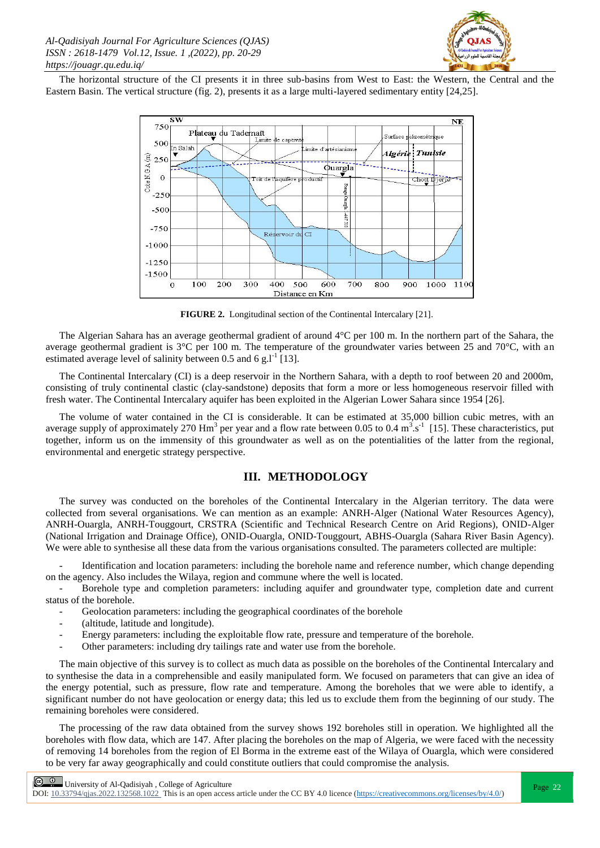

The horizontal structure of the CI presents it in three sub-basins from West to East: the Western, the Central and the Eastern Basin. The vertical structure (fig. 2), presents it as a large multi-layered sedimentary entity [24,25].



**FIGURE 2.** Longitudinal section of the Continental Intercalary [21].

The Algerian Sahara has an average geothermal gradient of around 4°C per 100 m. In the northern part of the Sahara, the average geothermal gradient is  $3^{\circ}$ C per 100 m. The temperature of the groundwater varies between 25 and 70 $^{\circ}$ C, with an estimated average level of salinity between 0.5 and 6 g.l<sup>-1</sup> [13].

The Continental Intercalary (CI) is a deep reservoir in the Northern Sahara, with a depth to roof between 20 and 2000m, consisting of truly continental clastic (clay-sandstone) deposits that form a more or less homogeneous reservoir filled with fresh water. The Continental Intercalary aquifer has been exploited in the Algerian Lower Sahara since 1954 [26].

The volume of water contained in the CI is considerable. It can be estimated at 35,000 billion cubic metres, with an average supply of approximately 270 Hm<sup>3</sup> per year and a flow rate between 0.05 to 0.4 m<sup>3</sup>.s<sup>-1</sup> [15]. These characteristics, put together, inform us on the immensity of this groundwater as well as on the potentialities of the latter from the regional, environmental and energetic strategy perspective.

## **III. METHODOLOGY**

The survey was conducted on the boreholes of the Continental Intercalary in the Algerian territory. The data were collected from several organisations. We can mention as an example: ANRH-Alger (National Water Resources Agency), ANRH-Ouargla, ANRH-Touggourt, CRSTRA (Scientific and Technical Research Centre on Arid Regions), ONID-Alger (National Irrigation and Drainage Office), ONID-Ouargla, ONID-Touggourt, ABHS-Ouargla (Sahara River Basin Agency). We were able to synthesise all these data from the various organisations consulted. The parameters collected are multiple:

Identification and location parameters: including the borehole name and reference number, which change depending on the agency. Also includes the Wilaya, region and commune where the well is located.

- Borehole type and completion parameters: including aquifer and groundwater type, completion date and current status of the borehole.

- Geolocation parameters: including the geographical coordinates of the borehole
- (altitude, latitude and longitude).
- Energy parameters: including the exploitable flow rate, pressure and temperature of the borehole.
- Other parameters: including dry tailings rate and water use from the borehole.

The main objective of this survey is to collect as much data as possible on the boreholes of the Continental Intercalary and to synthesise the data in a comprehensible and easily manipulated form. We focused on parameters that can give an idea of the energy potential, such as pressure, flow rate and temperature. Among the boreholes that we were able to identify, a significant number do not have geolocation or energy data; this led us to exclude them from the beginning of our study. The remaining boreholes were considered.

The processing of the raw data obtained from the survey shows 192 boreholes still in operation. We highlighted all the boreholes with flow data, which are 147. After placing the boreholes on the map of Algeria, we were faced with the necessity of removing 14 boreholes from the region of El Borma in the extreme east of the Wilaya of Ouargla, which were considered to be very far away geographically and could constitute outliers that could compromise the analysis.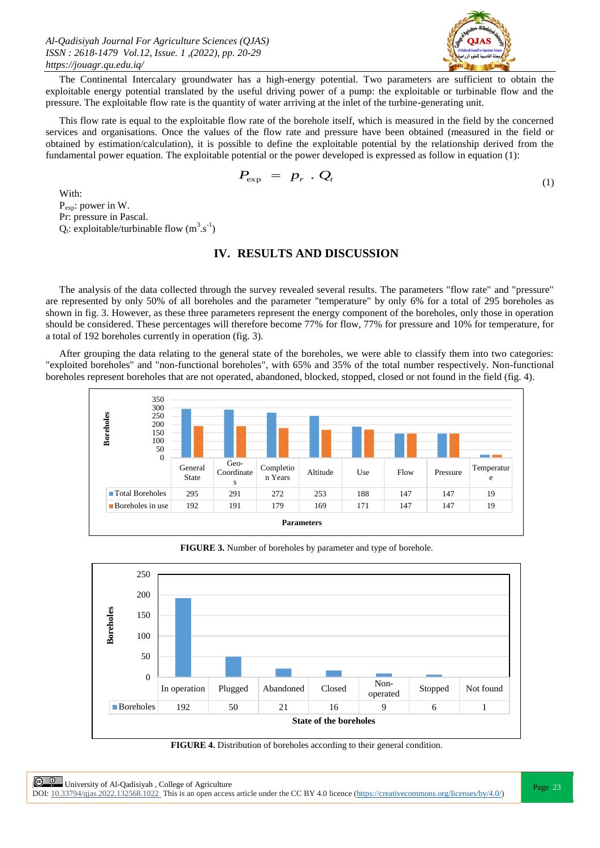

The Continental Intercalary groundwater has a high-energy potential. Two parameters are sufficient to obtain the exploitable energy potential translated by the useful driving power of a pump: the exploitable or turbinable flow and the pressure. The exploitable flow rate is the quantity of water arriving at the inlet of the turbine-generating unit.

This flow rate is equal to the exploitable flow rate of the borehole itself, which is measured in the field by the concerned services and organisations. Once the values of the flow rate and pressure have been obtained (measured in the field or obtained by estimation/calculation), it is possible to define the exploitable potential by the relationship derived from the fundamental power equation. The exploitable potential or the power developed is expressed as follow in equation (1):

$$
P_{\rm exp} = p_r \cdot Q_t \tag{1}
$$

With: P<sub>exp</sub>: power in W. Pr: pressure in Pascal.  $Q_t$ : exploitable/turbinable flow  $(m^3.s^{-1})$ 

### **IV. RESULTS AND DISCUSSION**

The analysis of the data collected through the survey revealed several results. The parameters "flow rate" and "pressure" are represented by only 50% of all boreholes and the parameter "temperature" by only 6% for a total of 295 boreholes as shown in fig. 3. However, as these three parameters represent the energy component of the boreholes, only those in operation should be considered. These percentages will therefore become 77% for flow, 77% for pressure and 10% for temperature, for a total of 192 boreholes currently in operation (fig. 3).

After grouping the data relating to the general state of the boreholes, we were able to classify them into two categories: "exploited boreholes" and "non-functional boreholes", with 65% and 35% of the total number respectively. Non-functional boreholes represent boreholes that are not operated, abandoned, blocked, stopped, closed or not found in the field (fig. 4).



**FIGURE 3.** Number of boreholes by parameter and type of borehole.



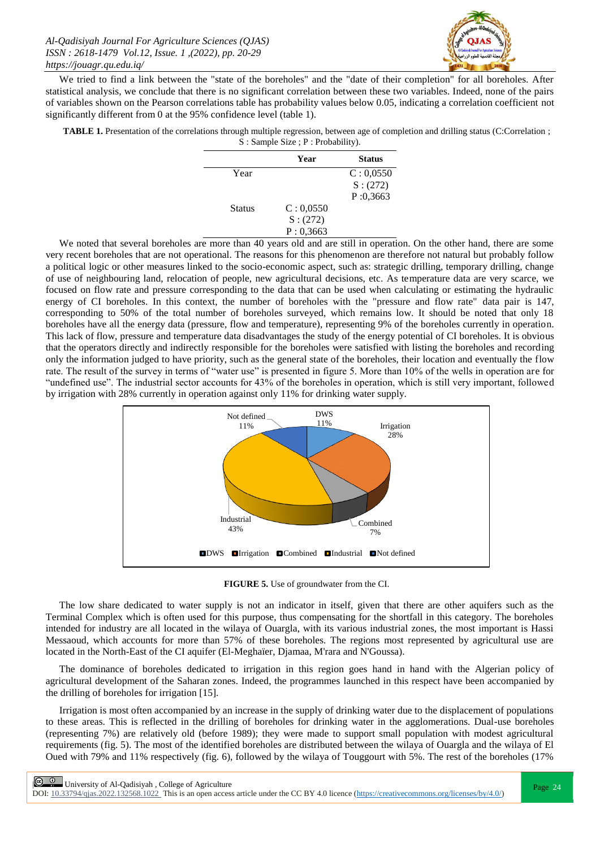

We tried to find a link between the "state of the boreholes" and the "date of their completion" for all boreholes. After statistical analysis, we conclude that there is no significant correlation between these two variables. Indeed, none of the pairs of variables shown on the Pearson correlations table has probability values below 0.05, indicating a correlation coefficient not significantly different from 0 at the 95% confidence level (table 1).

**TABLE 1.** Presentation of the correlations through multiple regression, between age of completion and drilling status (C:Correlation ; S : Sample Size ; P : Probability).

|               | Year      | <b>Status</b> |
|---------------|-----------|---------------|
| Year          |           | C: 0,0550     |
|               |           | S: (272)      |
|               |           | P:0,3663      |
| <b>Status</b> | C: 0,0550 |               |
|               | S: (272)  |               |
|               | P: 0,3663 |               |
|               |           |               |

We noted that several boreholes are more than 40 years old and are still in operation. On the other hand, there are some very recent boreholes that are not operational. The reasons for this phenomenon are therefore not natural but probably follow a political logic or other measures linked to the socio-economic aspect, such as: strategic drilling, temporary drilling, change of use of neighbouring land, relocation of people, new agricultural decisions, etc. As temperature data are very scarce, we focused on flow rate and pressure corresponding to the data that can be used when calculating or estimating the hydraulic energy of CI boreholes. In this context, the number of boreholes with the "pressure and flow rate" data pair is 147, corresponding to 50% of the total number of boreholes surveyed, which remains low. It should be noted that only 18 boreholes have all the energy data (pressure, flow and temperature), representing 9% of the boreholes currently in operation. This lack of flow, pressure and temperature data disadvantages the study of the energy potential of CI boreholes. It is obvious that the operators directly and indirectly responsible for the boreholes were satisfied with listing the boreholes and recording only the information judged to have priority, such as the general state of the boreholes, their location and eventually the flow rate. The result of the survey in terms of "water use" is presented in figure 5. More than 10% of the wells in operation are for "undefined use". The industrial sector accounts for 43% of the boreholes in operation, which is still very important, followed by irrigation with 28% currently in operation against only 11% for drinking water supply.



**FIGURE 5.** Use of groundwater from the CI.

The low share dedicated to water supply is not an indicator in itself, given that there are other aquifers such as the Terminal Complex which is often used for this purpose, thus compensating for the shortfall in this category. The boreholes intended for industry are all located in the wilaya of Ouargla, with its various industrial zones, the most important is Hassi Messaoud, which accounts for more than 57% of these boreholes. The regions most represented by agricultural use are located in the North-East of the CI aquifer (El-Meghaïer, Djamaa, M'rara and N'Goussa).

The dominance of boreholes dedicated to irrigation in this region goes hand in hand with the Algerian policy of agricultural development of the Saharan zones. Indeed, the programmes launched in this respect have been accompanied by the drilling of boreholes for irrigation [15].

Irrigation is most often accompanied by an increase in the supply of drinking water due to the displacement of populations to these areas. This is reflected in the drilling of boreholes for drinking water in the agglomerations. Dual-use boreholes (representing 7%) are relatively old (before 1989); they were made to support small population with modest agricultural requirements (fig. 5). The most of the identified boreholes are distributed between the wilaya of Ouargla and the wilaya of El Oued with 79% and 11% respectively (fig. 6), followed by the wilaya of Touggourt with 5%. The rest of the boreholes (17%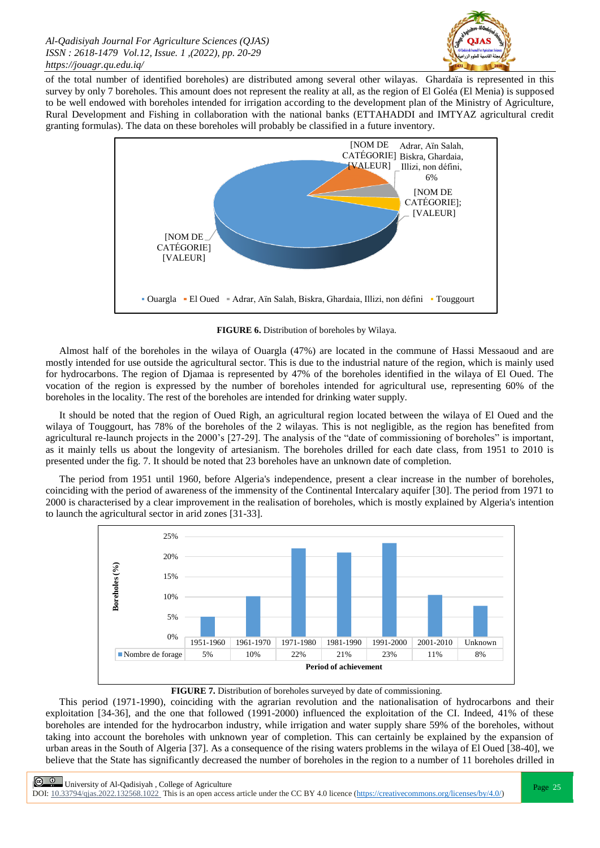

of the total number of identified boreholes) are distributed among several other wilayas. Ghardaïa is represented in this survey by only 7 boreholes. This amount does not represent the reality at all, as the region of El Goléa (El Menia) is supposed to be well endowed with boreholes intended for irrigation according to the development plan of the Ministry of Agriculture, Rural Development and Fishing in collaboration with the national banks (ETTAHADDI and IMTYAZ agricultural credit granting formulas). The data on these boreholes will probably be classified in a future inventory.



**FIGURE 6.** Distribution of boreholes by Wilaya.

Almost half of the boreholes in the wilaya of Ouargla (47%) are located in the commune of Hassi Messaoud and are mostly intended for use outside the agricultural sector. This is due to the industrial nature of the region, which is mainly used for hydrocarbons. The region of Djamaa is represented by 47% of the boreholes identified in the wilaya of El Oued. The vocation of the region is expressed by the number of boreholes intended for agricultural use, representing 60% of the boreholes in the locality. The rest of the boreholes are intended for drinking water supply.

It should be noted that the region of Oued Righ, an agricultural region located between the wilaya of El Oued and the wilaya of Touggourt, has 78% of the boreholes of the 2 wilayas. This is not negligible, as the region has benefited from agricultural re-launch projects in the 2000's [27-29]. The analysis of the "date of commissioning of boreholes" is important, as it mainly tells us about the longevity of artesianism. The boreholes drilled for each date class, from 1951 to 2010 is presented under the fig. 7. It should be noted that 23 boreholes have an unknown date of completion.

The period from 1951 until 1960, before Algeria's independence, present a clear increase in the number of boreholes, coinciding with the period of awareness of the immensity of the Continental Intercalary aquifer [30]. The period from 1971 to 2000 is characterised by a clear improvement in the realisation of boreholes, which is mostly explained by Algeria's intention to launch the agricultural sector in arid zones [31-33].



**FIGURE 7.** Distribution of boreholes surveyed by date of commissioning.

This period (1971-1990), coinciding with the agrarian revolution and the nationalisation of hydrocarbons and their exploitation [34-36], and the one that followed (1991-2000) influenced the exploitation of the CI. Indeed, 41% of these boreholes are intended for the hydrocarbon industry, while irrigation and water supply share 59% of the boreholes, without taking into account the boreholes with unknown year of completion. This can certainly be explained by the expansion of urban areas in the South of Algeria [37]. As a consequence of the rising waters problems in the wilaya of El Oued [38-40], we believe that the State has significantly decreased the number of boreholes in the region to a number of 11 boreholes drilled in

 $\circled{e}$  University of Al-Qadisiyah, College of Agriculture<br>  $\circled{e}$  University of Al-Qadisiyah, College of Agriculture DOI:  $10.33794/q$ jas.2022.132568.1022 This is an open access article under the CC BY 4.0 licence (https://creativecommons.org/licenses/by/4.0/)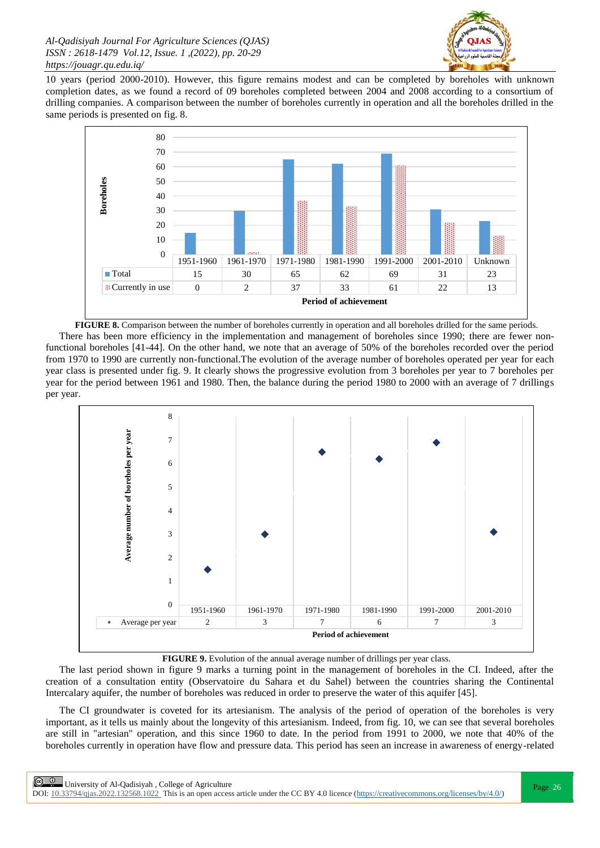

10 years (period 2000-2010). However, this figure remains modest and can be completed by boreholes with unknown completion dates, as we found a record of 09 boreholes completed between 2004 and 2008 according to a consortium of drilling companies. A comparison between the number of boreholes currently in operation and all the boreholes drilled in the same periods is presented on fig. 8.



**FIGURE 8.** Comparison between the number of boreholes currently in operation and all boreholes drilled for the same periods. There has been more efficiency in the implementation and management of boreholes since 1990; there are fewer nonfunctional boreholes [41-44]. On the other hand, we note that an average of 50% of the boreholes recorded over the period from 1970 to 1990 are currently non-functional.The evolution of the average number of boreholes operated per year for each year class is presented under fig. 9. It clearly shows the progressive evolution from 3 boreholes per year to 7 boreholes per year for the period between 1961 and 1980. Then, the balance during the period 1980 to 2000 with an average of 7 drillings per year.



**FIGURE 9.** Evolution of the annual average number of drillings per year class.

The last period shown in figure 9 marks a turning point in the management of boreholes in the CI. Indeed, after the creation of a consultation entity (Observatoire du Sahara et du Sahel) between the countries sharing the Continental Intercalary aquifer, the number of boreholes was reduced in order to preserve the water of this aquifer [45].

The CI groundwater is coveted for its artesianism. The analysis of the period of operation of the boreholes is very important, as it tells us mainly about the longevity of this artesianism. Indeed, from fig. 10, we can see that several boreholes are still in "artesian" operation, and this since 1960 to date. In the period from 1991 to 2000, we note that 40% of the boreholes currently in operation have flow and pressure data. This period has seen an increase in awareness of energy-related

**Page 26**<br>Page 26 | University of Al-Qadisiyah, College of Agriculture<br>Page 26 | Page 26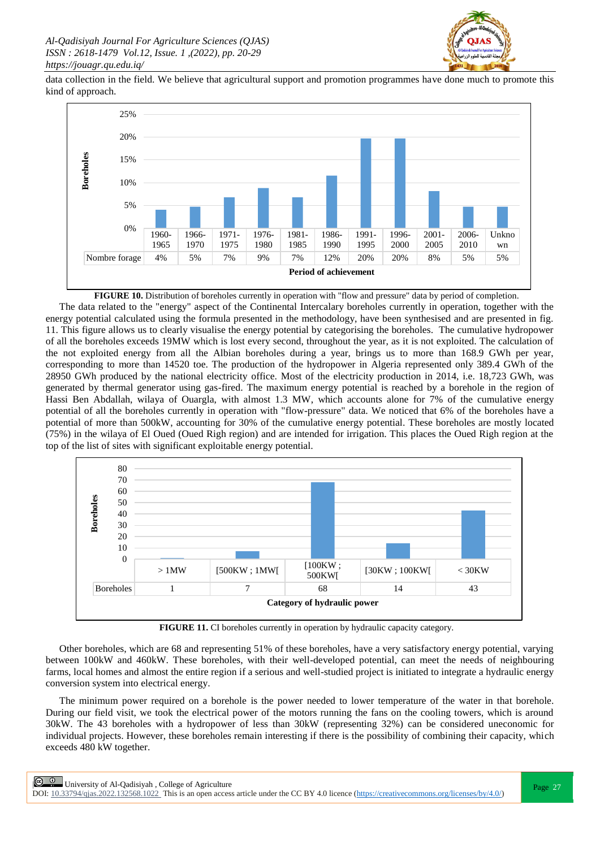

data collection in the field. We believe that agricultural support and promotion programmes have done much to promote this kind of approach.



**FIGURE 10.** Distribution of boreholes currently in operation with "flow and pressure" data by period of completion. The data related to the "energy" aspect of the Continental Intercalary boreholes currently in operation, together with the energy potential calculated using the formula presented in the methodology, have been synthesised and are presented in fig. 11. This figure allows us to clearly visualise the energy potential by categorising the boreholes. The cumulative hydropower of all the boreholes exceeds 19MW which is lost every second, throughout the year, as it is not exploited. The calculation of the not exploited energy from all the Albian boreholes during a year, brings us to more than 168.9 GWh per year, corresponding to more than 14520 toe. The production of the hydropower in Algeria represented only 389.4 GWh of the 28950 GWh produced by the national electricity office. Most of the electricity production in 2014, i.e. 18,723 GWh, was generated by thermal generator using gas-fired. The maximum energy potential is reached by a borehole in the region of Hassi Ben Abdallah, wilaya of Ouargla, with almost 1.3 MW, which accounts alone for 7% of the cumulative energy potential of all the boreholes currently in operation with "flow-pressure" data. We noticed that 6% of the boreholes have a potential of more than 500kW, accounting for 30% of the cumulative energy potential. These boreholes are mostly located (75%) in the wilaya of El Oued (Oued Righ region) and are intended for irrigation. This places the Oued Righ region at the top of the list of sites with significant exploitable energy potential.



**FIGURE 11.** CI boreholes currently in operation by hydraulic capacity category.

Other boreholes, which are 68 and representing 51% of these boreholes, have a very satisfactory energy potential, varying between 100kW and 460kW. These boreholes, with their well-developed potential, can meet the needs of neighbouring farms, local homes and almost the entire region if a serious and well-studied project is initiated to integrate a hydraulic energy conversion system into electrical energy.

The minimum power required on a borehole is the power needed to lower temperature of the water in that borehole. During our field visit, we took the electrical power of the motors running the fans on the cooling towers, which is around 30kW. The 43 boreholes with a hydropower of less than 30kW (representing 32%) can be considered uneconomic for individual projects. However, these boreholes remain interesting if there is the possibility of combining their capacity, which exceeds 480 kW together.

 $\frac{Q}{P}$  University of Al-Qadisiyah, College of Agriculture<br>  $\frac{Q}{P}$  = 27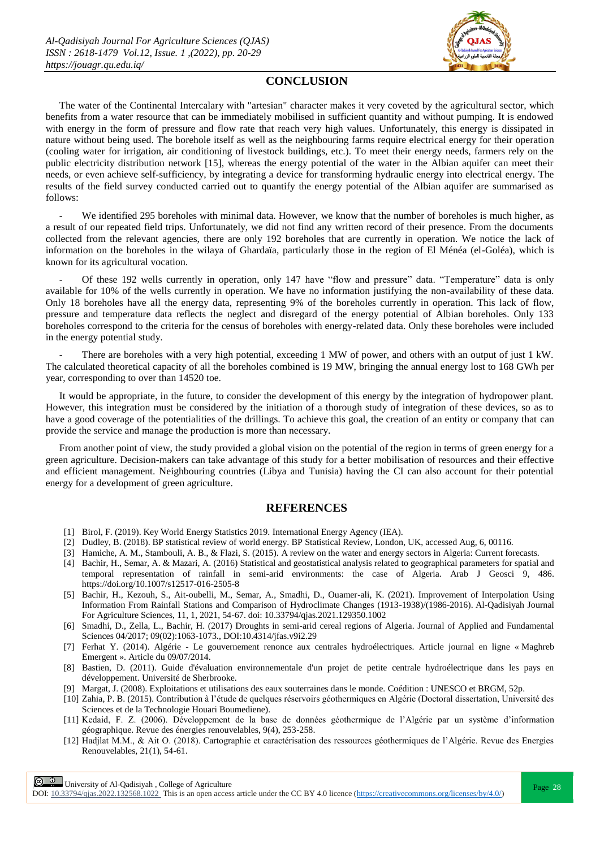

#### **CONCLUSION**

The water of the Continental Intercalary with "artesian" character makes it very coveted by the agricultural sector, which benefits from a water resource that can be immediately mobilised in sufficient quantity and without pumping. It is endowed with energy in the form of pressure and flow rate that reach very high values. Unfortunately, this energy is dissipated in nature without being used. The borehole itself as well as the neighbouring farms require electrical energy for their operation (cooling water for irrigation, air conditioning of livestock buildings, etc.). To meet their energy needs, farmers rely on the public electricity distribution network [15], whereas the energy potential of the water in the Albian aquifer can meet their needs, or even achieve self-sufficiency, by integrating a device for transforming hydraulic energy into electrical energy. The results of the field survey conducted carried out to quantify the energy potential of the Albian aquifer are summarised as follows:

We identified 295 boreholes with minimal data. However, we know that the number of boreholes is much higher, as a result of our repeated field trips. Unfortunately, we did not find any written record of their presence. From the documents collected from the relevant agencies, there are only 192 boreholes that are currently in operation. We notice the lack of information on the boreholes in the wilaya of Ghardaïa, particularly those in the region of El Ménéa (el-Goléa), which is known for its agricultural vocation.

- Of these 192 wells currently in operation, only 147 have "flow and pressure" data. "Temperature" data is only available for 10% of the wells currently in operation. We have no information justifying the non-availability of these data. Only 18 boreholes have all the energy data, representing 9% of the boreholes currently in operation. This lack of flow, pressure and temperature data reflects the neglect and disregard of the energy potential of Albian boreholes. Only 133 boreholes correspond to the criteria for the census of boreholes with energy-related data. Only these boreholes were included in the energy potential study.

There are boreholes with a very high potential, exceeding 1 MW of power, and others with an output of just 1 kW. The calculated theoretical capacity of all the boreholes combined is 19 MW, bringing the annual energy lost to 168 GWh per year, corresponding to over than 14520 toe.

It would be appropriate, in the future, to consider the development of this energy by the integration of hydropower plant. However, this integration must be considered by the initiation of a thorough study of integration of these devices, so as to have a good coverage of the potentialities of the drillings. To achieve this goal, the creation of an entity or company that can provide the service and manage the production is more than necessary.

From another point of view, the study provided a global vision on the potential of the region in terms of green energy for a green agriculture. Decision-makers can take advantage of this study for a better mobilisation of resources and their effective and efficient management. Neighbouring countries (Libya and Tunisia) having the CI can also account for their potential energy for a development of green agriculture.

#### **REFERENCES**

- [1] Birol, F. (2019). Key World Energy Statistics 2019. International Energy Agency (IEA).
- [2] Dudley, B. (2018). BP statistical review of world energy. BP Statistical Review, London, UK, accessed Aug, 6, 00116.
- [3] Hamiche, A. M., Stambouli, A. B., & Flazi, S. (2015). A review on the water and energy sectors in Algeria: Current forecasts.
- [4] Bachir, H., Semar, A. & Mazari, A. (2016) Statistical and geostatistical analysis related to geographical parameters for spatial and temporal representation of rainfall in semi-arid environments: the case of Algeria. Arab J Geosci 9, 486. https://doi.org/10.1007/s12517-016-2505-8
- [5] Bachir, H., Kezouh, S., Ait-oubelli, M., Semar, A., Smadhi, D., Ouamer-ali, K. (2021). Improvement of Interpolation Using Information From Rainfall Stations and Comparison of Hydroclimate Changes (1913-1938)/(1986-2016). Al-Qadisiyah Journal For Agriculture Sciences, 11, 1, 2021, 54-67. doi: 10.33794/qjas.2021.129350.1002
- [6] Smadhi, D., Zella, L., Bachir, H. (2017) Droughts in semi-arid cereal regions of Algeria. Journal of Applied and Fundamental Sciences 04/2017; 09(02):1063-1073., DOI:10.4314/jfas.v9i2.29
- [7] Ferhat Y. (2014). Algérie Le gouvernement renonce aux centrales hydroélectriques. Article journal en ligne « Maghreb Emergent ». Article du 09/07/2014.
- [8] Bastien, D. (2011). Guide d'évaluation environnementale d'un projet de petite centrale hydroélectrique dans les pays en développement. Université de Sherbrooke.
- [9] Margat, J. (2008). Exploitations et utilisations des eaux souterraines dans le monde. Coédition : UNESCO et BRGM, 52p.
- [10] Zahia, P. B. (2015). Contribution à l'étude de quelques réservoirs géothermiques en Algérie (Doctoral dissertation, Université des Sciences et de la Technologie Houari Boumediene).
- [11] Kedaid, F. Z. (2006). Développement de la base de données géothermique de l'Algérie par un système d'information géographique. Revue des énergies renouvelables, 9(4), 253-258.
- [12] Hadjlat M.M., & Ait O. (2018). Cartographie et caractérisation des ressources géothermiques de l'Algérie. Rеvuе des Energies Renouvelables, 21(1), 54-61.

 $\boxed{\odot}$   $\odot$  University of Al-Qadisiyah, College of Agriculture<br>  $\boxed{\qquad}$  Page 28